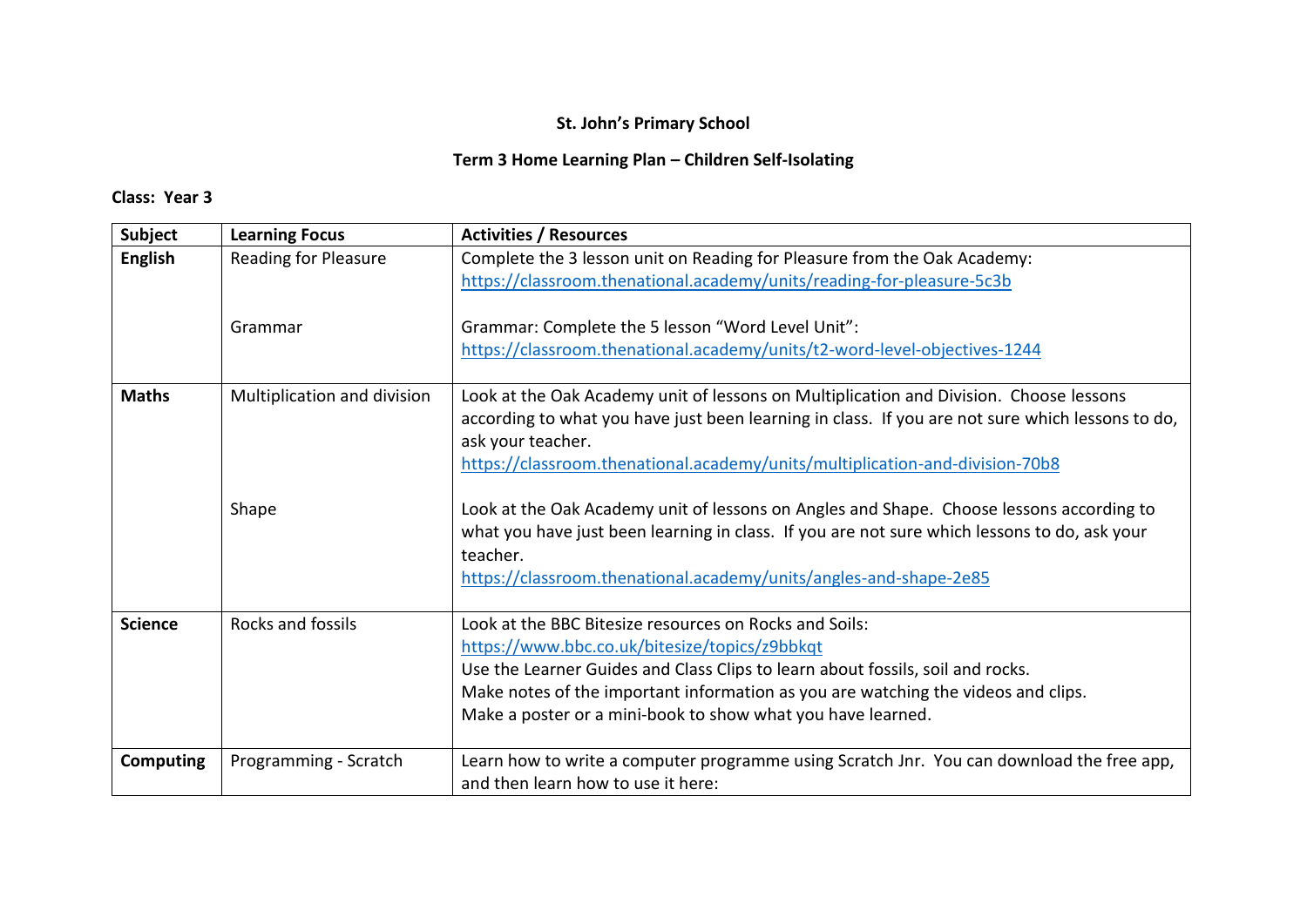# **Term 3 Home Learning Plan – Children Self-Isolating**

| <b>Subject</b>   | <b>Learning Focus</b>       | <b>Activities / Resources</b>                                                                                                                                                                                                                                                                                                                 |
|------------------|-----------------------------|-----------------------------------------------------------------------------------------------------------------------------------------------------------------------------------------------------------------------------------------------------------------------------------------------------------------------------------------------|
| <b>English</b>   | <b>Reading for Pleasure</b> | Complete the 3 lesson unit on Reading for Pleasure from the Oak Academy:<br>https://classroom.thenational.academy/units/reading-for-pleasure-5c3b                                                                                                                                                                                             |
|                  | Grammar                     | Grammar: Complete the 5 lesson "Word Level Unit":<br>https://classroom.thenational.academy/units/t2-word-level-objectives-1244                                                                                                                                                                                                                |
| <b>Maths</b>     | Multiplication and division | Look at the Oak Academy unit of lessons on Multiplication and Division. Choose lessons<br>according to what you have just been learning in class. If you are not sure which lessons to do,<br>ask your teacher.<br>https://classroom.thenational.academy/units/multiplication-and-division-70b8                                               |
|                  | Shape                       | Look at the Oak Academy unit of lessons on Angles and Shape. Choose lessons according to<br>what you have just been learning in class. If you are not sure which lessons to do, ask your<br>teacher.<br>https://classroom.thenational.academy/units/angles-and-shape-2e85                                                                     |
| <b>Science</b>   | Rocks and fossils           | Look at the BBC Bitesize resources on Rocks and Soils:<br>https://www.bbc.co.uk/bitesize/topics/z9bbkqt<br>Use the Learner Guides and Class Clips to learn about fossils, soil and rocks.<br>Make notes of the important information as you are watching the videos and clips.<br>Make a poster or a mini-book to show what you have learned. |
| <b>Computing</b> | Programming - Scratch       | Learn how to write a computer programme using Scratch Jnr. You can download the free app,<br>and then learn how to use it here:                                                                                                                                                                                                               |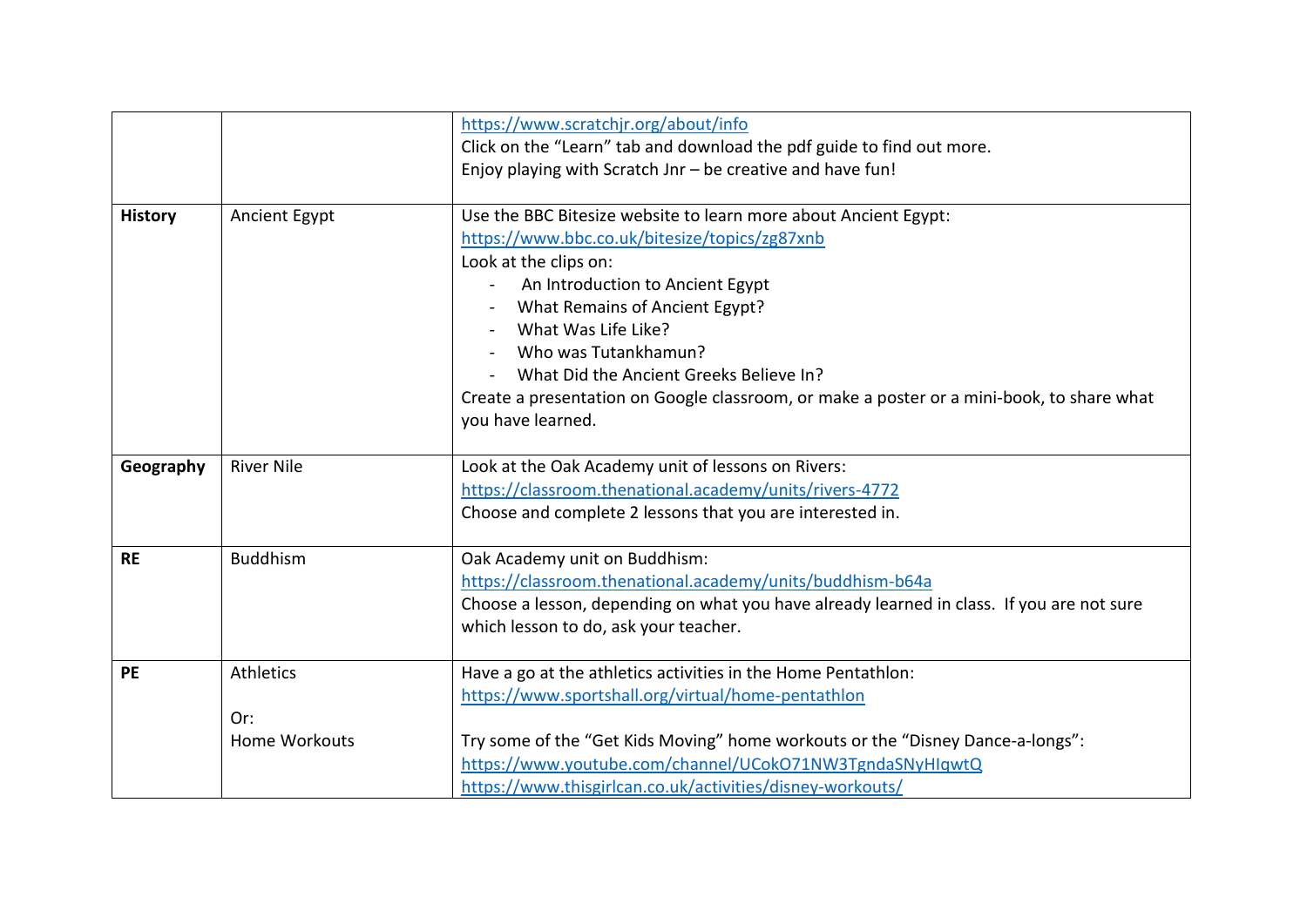|                |                      | https://www.scratchjr.org/about/info                                                      |
|----------------|----------------------|-------------------------------------------------------------------------------------------|
|                |                      | Click on the "Learn" tab and download the pdf guide to find out more.                     |
|                |                      | Enjoy playing with Scratch Jnr - be creative and have fun!                                |
|                |                      |                                                                                           |
| <b>History</b> | Ancient Egypt        | Use the BBC Bitesize website to learn more about Ancient Egypt:                           |
|                |                      | https://www.bbc.co.uk/bitesize/topics/zg87xnb                                             |
|                |                      | Look at the clips on:                                                                     |
|                |                      | An Introduction to Ancient Egypt                                                          |
|                |                      | What Remains of Ancient Egypt?                                                            |
|                |                      | What Was Life Like?                                                                       |
|                |                      | Who was Tutankhamun?                                                                      |
|                |                      | What Did the Ancient Greeks Believe In?                                                   |
|                |                      | Create a presentation on Google classroom, or make a poster or a mini-book, to share what |
|                |                      | you have learned.                                                                         |
|                |                      |                                                                                           |
| Geography      | <b>River Nile</b>    | Look at the Oak Academy unit of lessons on Rivers:                                        |
|                |                      | https://classroom.thenational.academy/units/rivers-4772                                   |
|                |                      | Choose and complete 2 lessons that you are interested in.                                 |
|                |                      |                                                                                           |
| <b>RE</b>      | <b>Buddhism</b>      | Oak Academy unit on Buddhism:                                                             |
|                |                      | https://classroom.thenational.academy/units/buddhism-b64a                                 |
|                |                      | Choose a lesson, depending on what you have already learned in class. If you are not sure |
|                |                      | which lesson to do, ask your teacher.                                                     |
|                |                      |                                                                                           |
| <b>PE</b>      | Athletics            | Have a go at the athletics activities in the Home Pentathlon:                             |
|                |                      | https://www.sportshall.org/virtual/home-pentathlon                                        |
|                | Or:                  |                                                                                           |
|                | <b>Home Workouts</b> | Try some of the "Get Kids Moving" home workouts or the "Disney Dance-a-longs":            |
|                |                      | https://www.youtube.com/channel/UCokO71NW3TgndaSNyHIqwtQ                                  |
|                |                      | https://www.thisgirlcan.co.uk/activities/disney-workouts/                                 |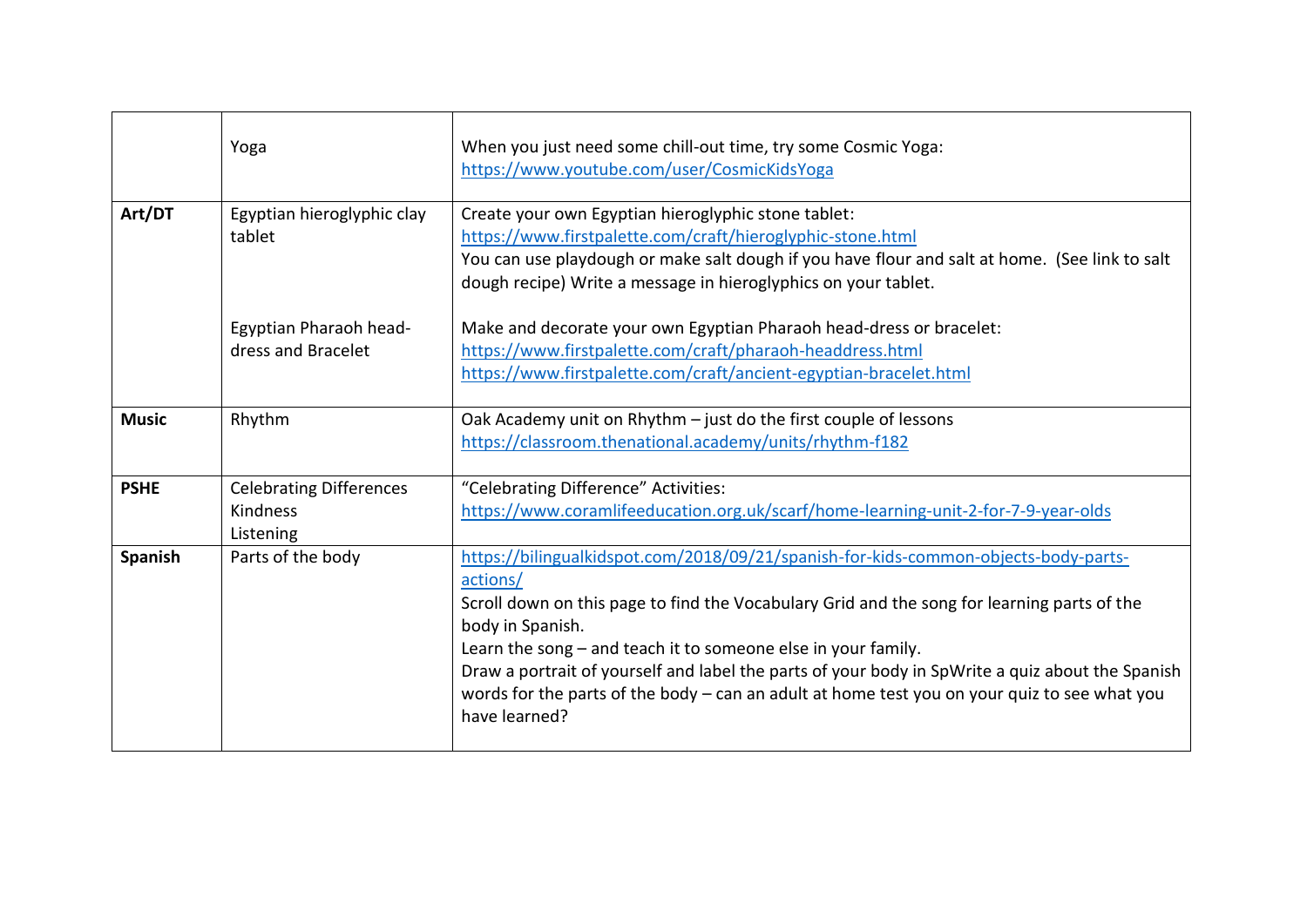|              | Yoga                                                    | When you just need some chill-out time, try some Cosmic Yoga:<br>https://www.youtube.com/user/CosmicKidsYoga                                                                                                                                                                                                                                                                                                                                                                                               |
|--------------|---------------------------------------------------------|------------------------------------------------------------------------------------------------------------------------------------------------------------------------------------------------------------------------------------------------------------------------------------------------------------------------------------------------------------------------------------------------------------------------------------------------------------------------------------------------------------|
| Art/DT       | Egyptian hieroglyphic clay<br>tablet                    | Create your own Egyptian hieroglyphic stone tablet:<br>https://www.firstpalette.com/craft/hieroglyphic-stone.html<br>You can use playdough or make salt dough if you have flour and salt at home. (See link to salt<br>dough recipe) Write a message in hieroglyphics on your tablet.                                                                                                                                                                                                                      |
|              | Egyptian Pharaoh head-<br>dress and Bracelet            | Make and decorate your own Egyptian Pharaoh head-dress or bracelet:<br>https://www.firstpalette.com/craft/pharaoh-headdress.html<br>https://www.firstpalette.com/craft/ancient-egyptian-bracelet.html                                                                                                                                                                                                                                                                                                      |
| <b>Music</b> | Rhythm                                                  | Oak Academy unit on Rhythm - just do the first couple of lessons<br>https://classroom.thenational.academy/units/rhythm-f182                                                                                                                                                                                                                                                                                                                                                                                |
| <b>PSHE</b>  | <b>Celebrating Differences</b><br>Kindness<br>Listening | "Celebrating Difference" Activities:<br>https://www.coramlifeeducation.org.uk/scarf/home-learning-unit-2-for-7-9-year-olds                                                                                                                                                                                                                                                                                                                                                                                 |
| Spanish      | Parts of the body                                       | https://bilingualkidspot.com/2018/09/21/spanish-for-kids-common-objects-body-parts-<br>actions/<br>Scroll down on this page to find the Vocabulary Grid and the song for learning parts of the<br>body in Spanish.<br>Learn the song $-$ and teach it to someone else in your family.<br>Draw a portrait of yourself and label the parts of your body in SpWrite a quiz about the Spanish<br>words for the parts of the body - can an adult at home test you on your quiz to see what you<br>have learned? |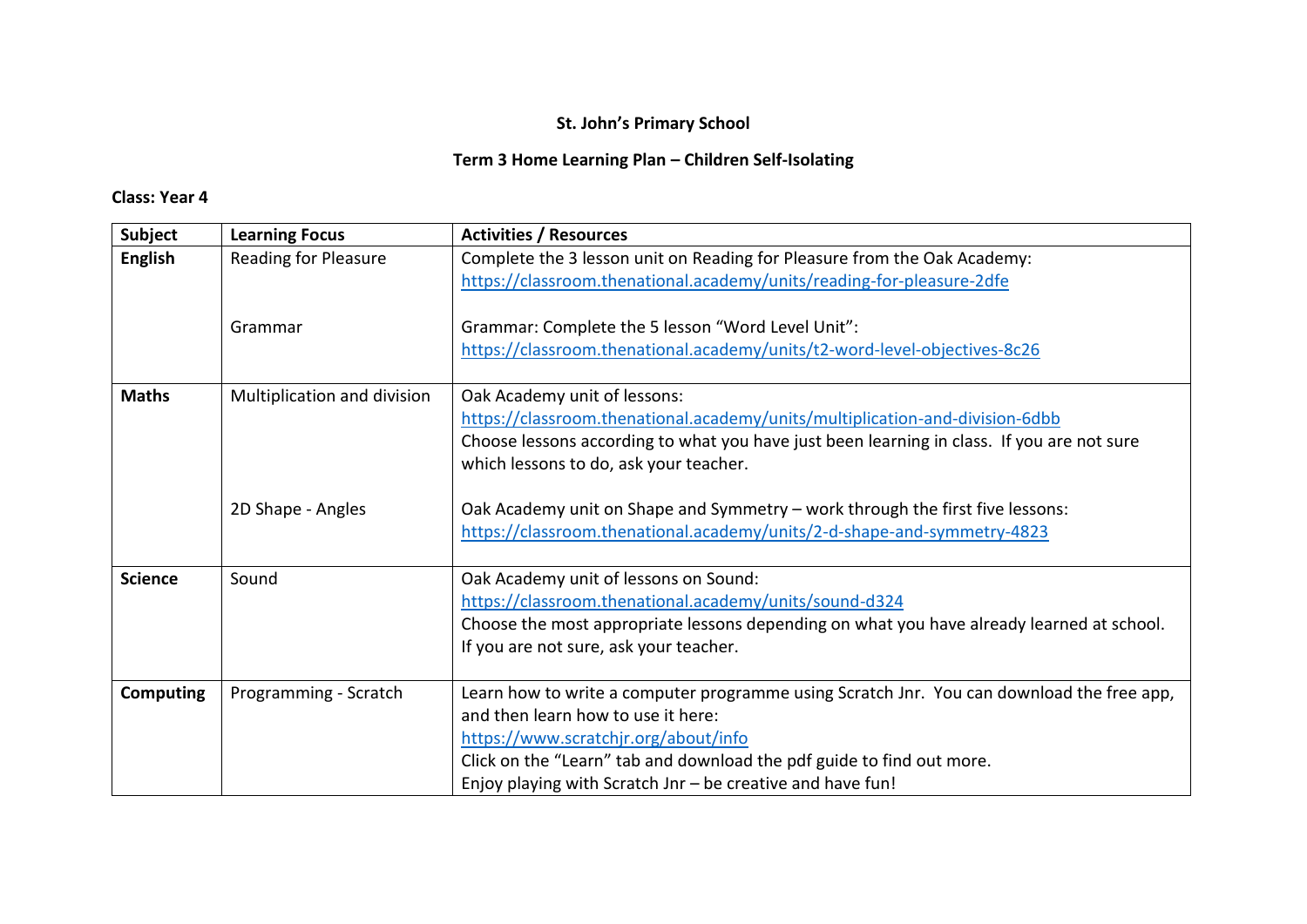# **Term 3 Home Learning Plan – Children Self-Isolating**

| <b>Subject</b>   | <b>Learning Focus</b>       | <b>Activities / Resources</b>                                                                                                                                                                                                                                                                                  |
|------------------|-----------------------------|----------------------------------------------------------------------------------------------------------------------------------------------------------------------------------------------------------------------------------------------------------------------------------------------------------------|
| <b>English</b>   | <b>Reading for Pleasure</b> | Complete the 3 lesson unit on Reading for Pleasure from the Oak Academy:<br>https://classroom.thenational.academy/units/reading-for-pleasure-2dfe                                                                                                                                                              |
|                  | Grammar                     | Grammar: Complete the 5 lesson "Word Level Unit":<br>https://classroom.thenational.academy/units/t2-word-level-objectives-8c26                                                                                                                                                                                 |
| <b>Maths</b>     | Multiplication and division | Oak Academy unit of lessons:<br>https://classroom.thenational.academy/units/multiplication-and-division-6dbb<br>Choose lessons according to what you have just been learning in class. If you are not sure<br>which lessons to do, ask your teacher.                                                           |
|                  | 2D Shape - Angles           | Oak Academy unit on Shape and Symmetry - work through the first five lessons:<br>https://classroom.thenational.academy/units/2-d-shape-and-symmetry-4823                                                                                                                                                       |
| <b>Science</b>   | Sound                       | Oak Academy unit of lessons on Sound:<br>https://classroom.thenational.academy/units/sound-d324<br>Choose the most appropriate lessons depending on what you have already learned at school.<br>If you are not sure, ask your teacher.                                                                         |
| <b>Computing</b> | Programming - Scratch       | Learn how to write a computer programme using Scratch Jnr. You can download the free app,<br>and then learn how to use it here:<br>https://www.scratchjr.org/about/info<br>Click on the "Learn" tab and download the pdf guide to find out more.<br>Enjoy playing with Scratch Jnr - be creative and have fun! |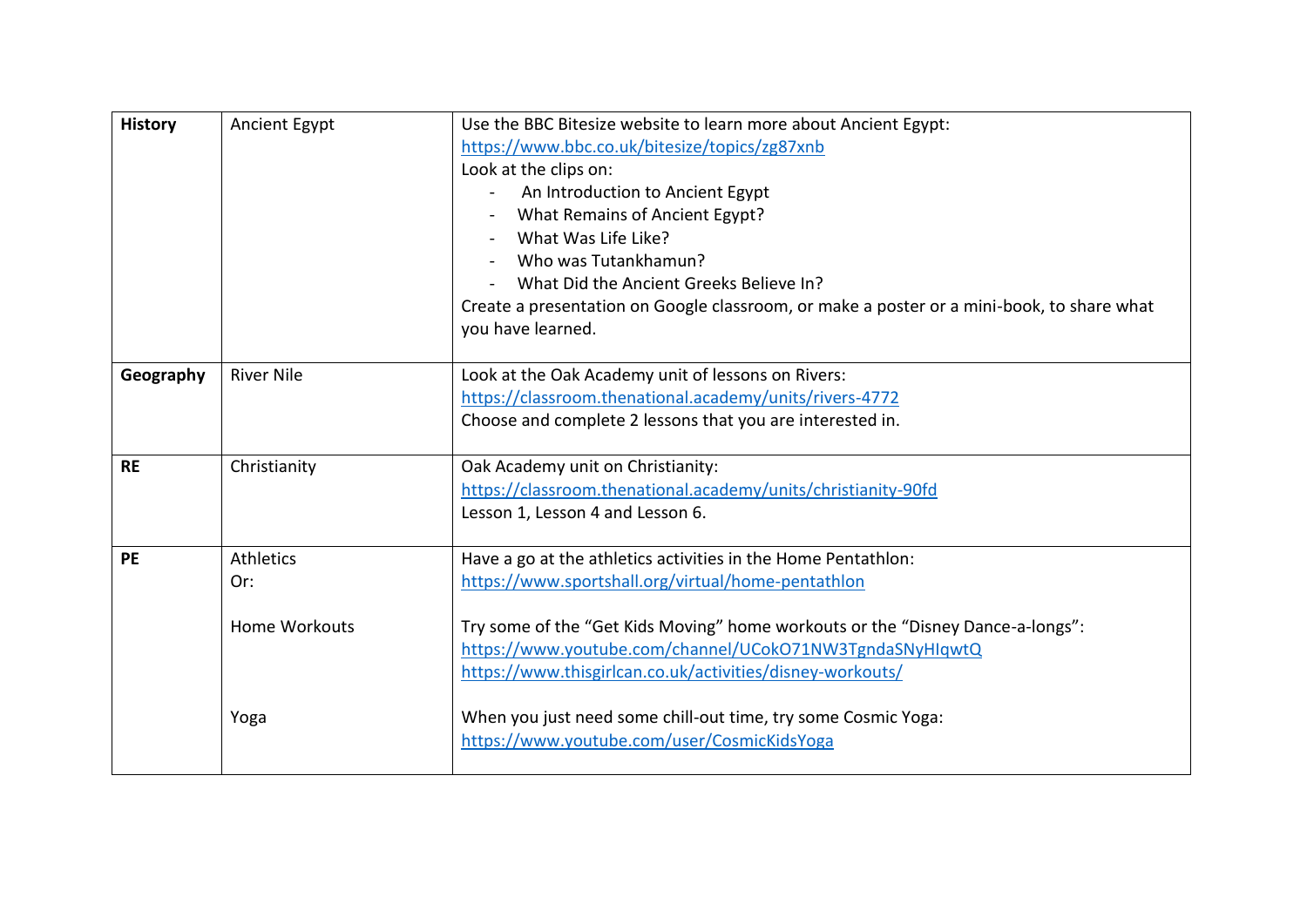| <b>History</b> | Ancient Egypt                                   | Use the BBC Bitesize website to learn more about Ancient Egypt:<br>https://www.bbc.co.uk/bitesize/topics/zg87xnb<br>Look at the clips on:<br>An Introduction to Ancient Egypt<br>What Remains of Ancient Egypt?<br>What Was Life Like?<br>Who was Tutankhamun?<br>What Did the Ancient Greeks Believe In?<br>Create a presentation on Google classroom, or make a poster or a mini-book, to share what |
|----------------|-------------------------------------------------|--------------------------------------------------------------------------------------------------------------------------------------------------------------------------------------------------------------------------------------------------------------------------------------------------------------------------------------------------------------------------------------------------------|
|                |                                                 | you have learned.                                                                                                                                                                                                                                                                                                                                                                                      |
| Geography      | <b>River Nile</b>                               | Look at the Oak Academy unit of lessons on Rivers:<br>https://classroom.thenational.academy/units/rivers-4772<br>Choose and complete 2 lessons that you are interested in.                                                                                                                                                                                                                             |
| <b>RE</b>      | Christianity                                    | Oak Academy unit on Christianity:<br>https://classroom.thenational.academy/units/christianity-90fd<br>Lesson 1, Lesson 4 and Lesson 6.                                                                                                                                                                                                                                                                 |
| <b>PE</b>      | <b>Athletics</b><br>Or:<br><b>Home Workouts</b> | Have a go at the athletics activities in the Home Pentathlon:<br>https://www.sportshall.org/virtual/home-pentathlon<br>Try some of the "Get Kids Moving" home workouts or the "Disney Dance-a-longs":<br>https://www.youtube.com/channel/UCokO71NW3TgndaSNyHIqwtQ<br>https://www.thisgirlcan.co.uk/activities/disney-workouts/                                                                         |
|                | Yoga                                            | When you just need some chill-out time, try some Cosmic Yoga:<br>https://www.youtube.com/user/CosmicKidsYoga                                                                                                                                                                                                                                                                                           |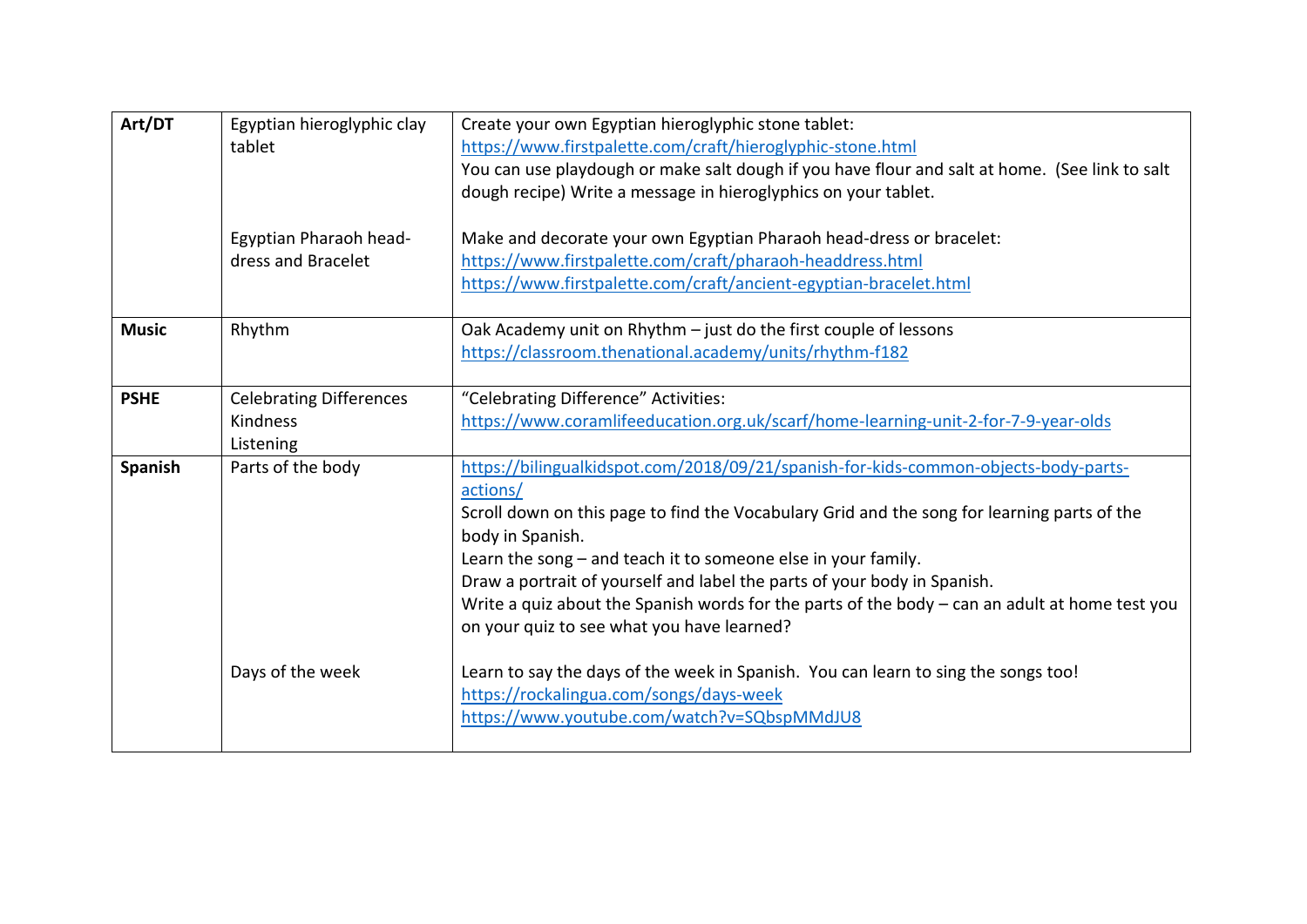| Art/DT       | Egyptian hieroglyphic clay<br>tablet                    | Create your own Egyptian hieroglyphic stone tablet:<br>https://www.firstpalette.com/craft/hieroglyphic-stone.html<br>You can use playdough or make salt dough if you have flour and salt at home. (See link to salt<br>dough recipe) Write a message in hieroglyphics on your tablet.                                                                                                                                                                                                                             |
|--------------|---------------------------------------------------------|-------------------------------------------------------------------------------------------------------------------------------------------------------------------------------------------------------------------------------------------------------------------------------------------------------------------------------------------------------------------------------------------------------------------------------------------------------------------------------------------------------------------|
|              | Egyptian Pharaoh head-<br>dress and Bracelet            | Make and decorate your own Egyptian Pharaoh head-dress or bracelet:<br>https://www.firstpalette.com/craft/pharaoh-headdress.html<br>https://www.firstpalette.com/craft/ancient-egyptian-bracelet.html                                                                                                                                                                                                                                                                                                             |
| <b>Music</b> | Rhythm                                                  | Oak Academy unit on Rhythm - just do the first couple of lessons<br>https://classroom.thenational.academy/units/rhythm-f182                                                                                                                                                                                                                                                                                                                                                                                       |
| <b>PSHE</b>  | <b>Celebrating Differences</b><br>Kindness<br>Listening | "Celebrating Difference" Activities:<br>https://www.coramlifeeducation.org.uk/scarf/home-learning-unit-2-for-7-9-year-olds                                                                                                                                                                                                                                                                                                                                                                                        |
| Spanish      | Parts of the body                                       | https://bilingualkidspot.com/2018/09/21/spanish-for-kids-common-objects-body-parts-<br>actions/<br>Scroll down on this page to find the Vocabulary Grid and the song for learning parts of the<br>body in Spanish.<br>Learn the song - and teach it to someone else in your family.<br>Draw a portrait of yourself and label the parts of your body in Spanish.<br>Write a quiz about the Spanish words for the parts of the body $-$ can an adult at home test you<br>on your quiz to see what you have learned? |
|              | Days of the week                                        | Learn to say the days of the week in Spanish. You can learn to sing the songs too!<br>https://rockalingua.com/songs/days-week<br>https://www.youtube.com/watch?v=SQbspMMdJU8                                                                                                                                                                                                                                                                                                                                      |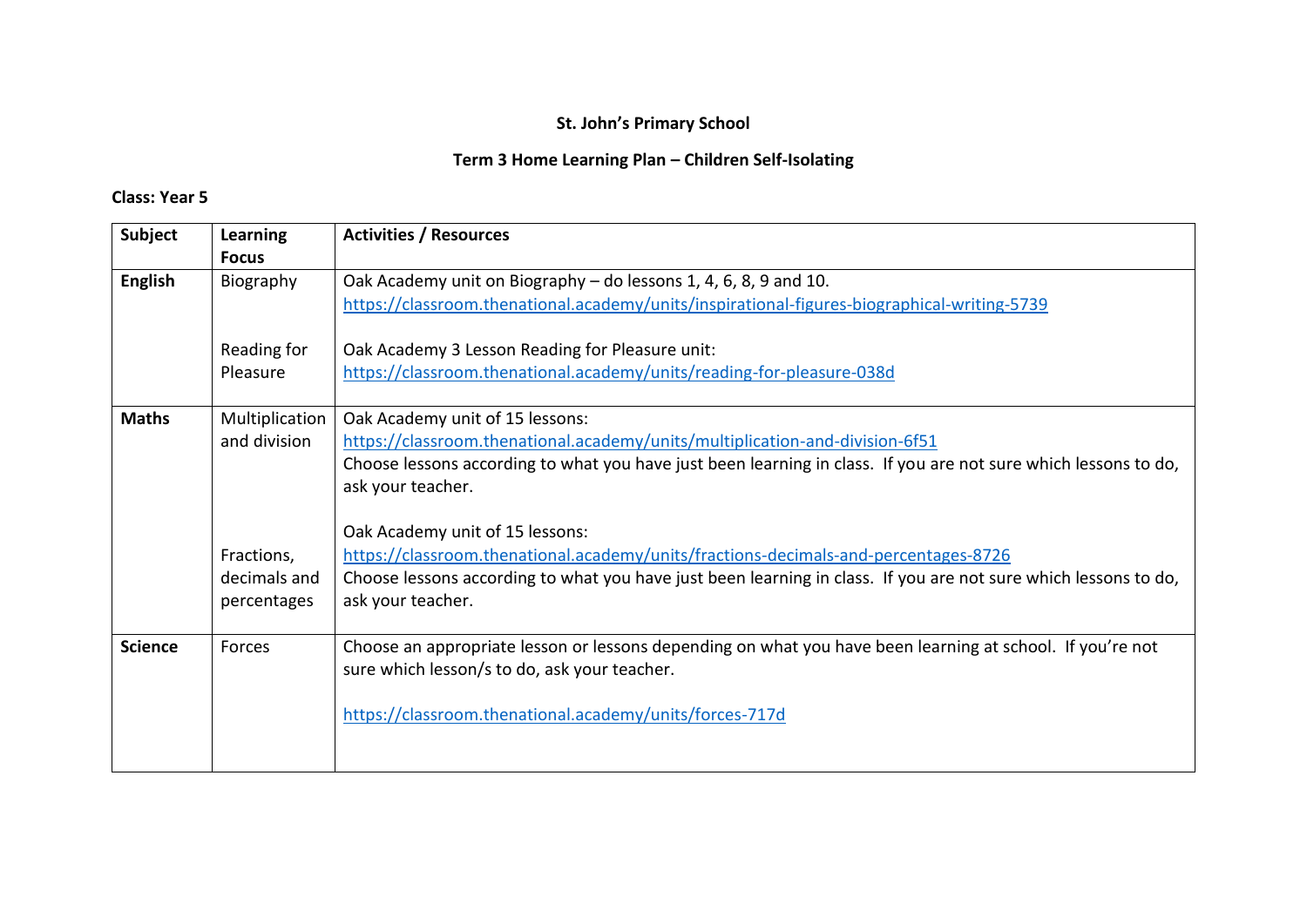# **Term 3 Home Learning Plan – Children Self-Isolating**

| Subject        | <b>Learning</b> | <b>Activities / Resources</b>                                                                                                                             |
|----------------|-----------------|-----------------------------------------------------------------------------------------------------------------------------------------------------------|
|                | <b>Focus</b>    |                                                                                                                                                           |
| <b>English</b> | Biography       | Oak Academy unit on Biography - do lessons 1, 4, 6, 8, 9 and 10.                                                                                          |
|                |                 | https://classroom.thenational.academy/units/inspirational-figures-biographical-writing-5739                                                               |
|                | Reading for     | Oak Academy 3 Lesson Reading for Pleasure unit:                                                                                                           |
|                | Pleasure        | https://classroom.thenational.academy/units/reading-for-pleasure-038d                                                                                     |
| <b>Maths</b>   | Multiplication  | Oak Academy unit of 15 lessons:                                                                                                                           |
|                | and division    | https://classroom.thenational.academy/units/multiplication-and-division-6f51                                                                              |
|                |                 | Choose lessons according to what you have just been learning in class. If you are not sure which lessons to do,                                           |
|                |                 | ask your teacher.                                                                                                                                         |
|                |                 |                                                                                                                                                           |
|                |                 | Oak Academy unit of 15 lessons:                                                                                                                           |
|                | Fractions,      | https://classroom.thenational.academy/units/fractions-decimals-and-percentages-8726                                                                       |
|                | decimals and    | Choose lessons according to what you have just been learning in class. If you are not sure which lessons to do,                                           |
|                | percentages     | ask your teacher.                                                                                                                                         |
|                |                 |                                                                                                                                                           |
| <b>Science</b> | Forces          | Choose an appropriate lesson or lessons depending on what you have been learning at school. If you're not<br>sure which lesson/s to do, ask your teacher. |
|                |                 |                                                                                                                                                           |
|                |                 | https://classroom.thenational.academy/units/forces-717d                                                                                                   |
|                |                 |                                                                                                                                                           |
|                |                 |                                                                                                                                                           |
|                |                 |                                                                                                                                                           |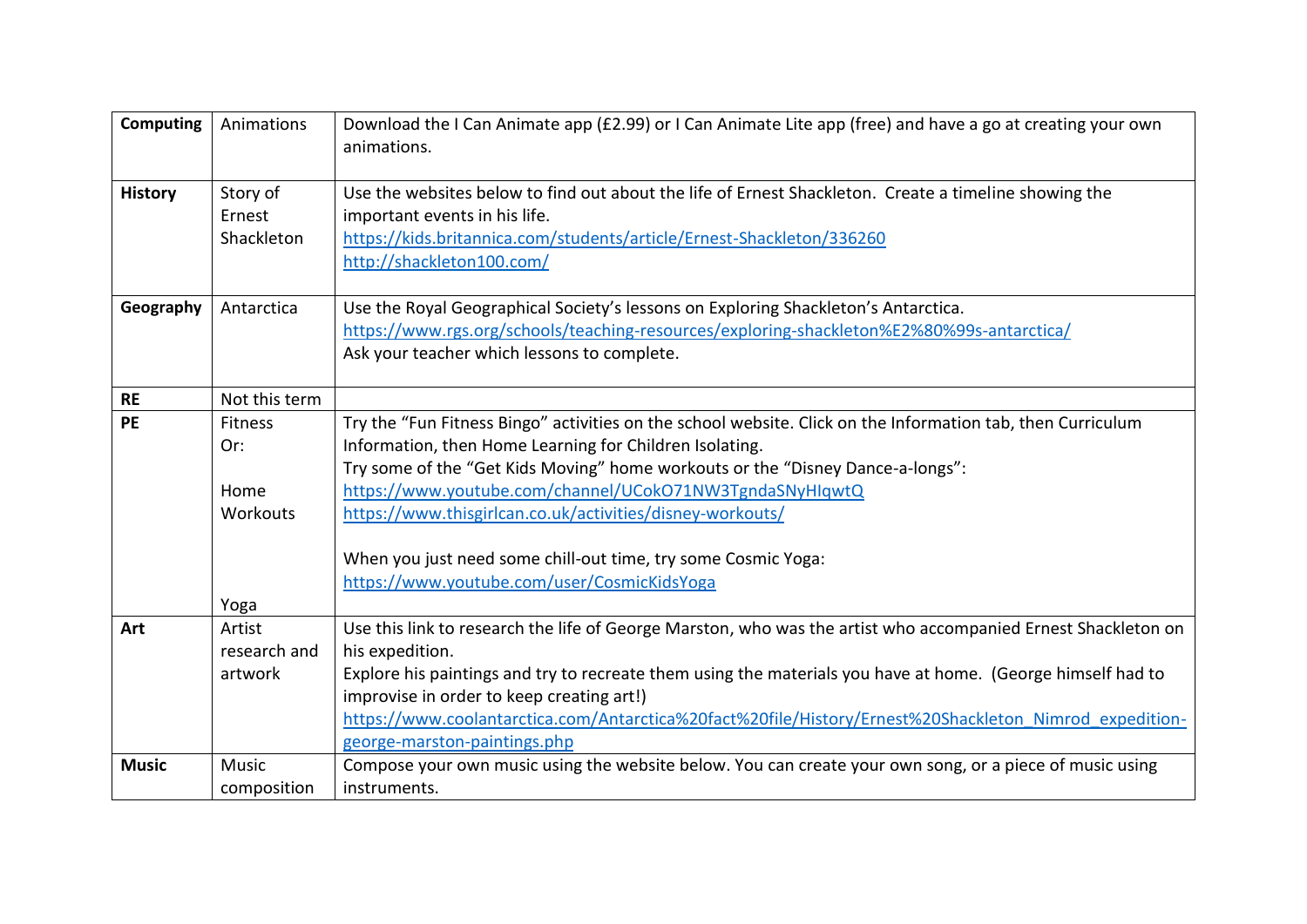| <b>Computing</b> | Animations                       | Download the I Can Animate app (£2.99) or I Can Animate Lite app (free) and have a go at creating your own<br>animations.                                                                                                                    |
|------------------|----------------------------------|----------------------------------------------------------------------------------------------------------------------------------------------------------------------------------------------------------------------------------------------|
| <b>History</b>   | Story of<br>Ernest<br>Shackleton | Use the websites below to find out about the life of Ernest Shackleton. Create a timeline showing the<br>important events in his life.<br>https://kids.britannica.com/students/article/Ernest-Shackleton/336260<br>http://shackleton100.com/ |
| Geography        | Antarctica                       | Use the Royal Geographical Society's lessons on Exploring Shackleton's Antarctica.<br>https://www.rgs.org/schools/teaching-resources/exploring-shackleton%E2%80%99s-antarctica/<br>Ask your teacher which lessons to complete.               |
| <b>RE</b>        | Not this term                    |                                                                                                                                                                                                                                              |
| <b>PE</b>        | <b>Fitness</b>                   | Try the "Fun Fitness Bingo" activities on the school website. Click on the Information tab, then Curriculum                                                                                                                                  |
|                  | Or:                              | Information, then Home Learning for Children Isolating.                                                                                                                                                                                      |
|                  |                                  | Try some of the "Get Kids Moving" home workouts or the "Disney Dance-a-longs":                                                                                                                                                               |
|                  | Home                             | https://www.youtube.com/channel/UCokO71NW3TgndaSNyHIqwtQ                                                                                                                                                                                     |
|                  | Workouts                         | https://www.thisgirlcan.co.uk/activities/disney-workouts/                                                                                                                                                                                    |
|                  |                                  | When you just need some chill-out time, try some Cosmic Yoga:                                                                                                                                                                                |
|                  |                                  | https://www.youtube.com/user/CosmicKidsYoga                                                                                                                                                                                                  |
|                  | Yoga                             |                                                                                                                                                                                                                                              |
| Art              | Artist                           | Use this link to research the life of George Marston, who was the artist who accompanied Ernest Shackleton on                                                                                                                                |
|                  | research and                     | his expedition.                                                                                                                                                                                                                              |
|                  | artwork                          | Explore his paintings and try to recreate them using the materials you have at home. (George himself had to                                                                                                                                  |
|                  |                                  | improvise in order to keep creating art!)                                                                                                                                                                                                    |
|                  |                                  | https://www.coolantarctica.com/Antarctica%20fact%20file/History/Ernest%20Shackleton Nimrod expedition-                                                                                                                                       |
|                  |                                  | george-marston-paintings.php                                                                                                                                                                                                                 |
| <b>Music</b>     | Music                            | Compose your own music using the website below. You can create your own song, or a piece of music using                                                                                                                                      |
|                  | composition                      | instruments.                                                                                                                                                                                                                                 |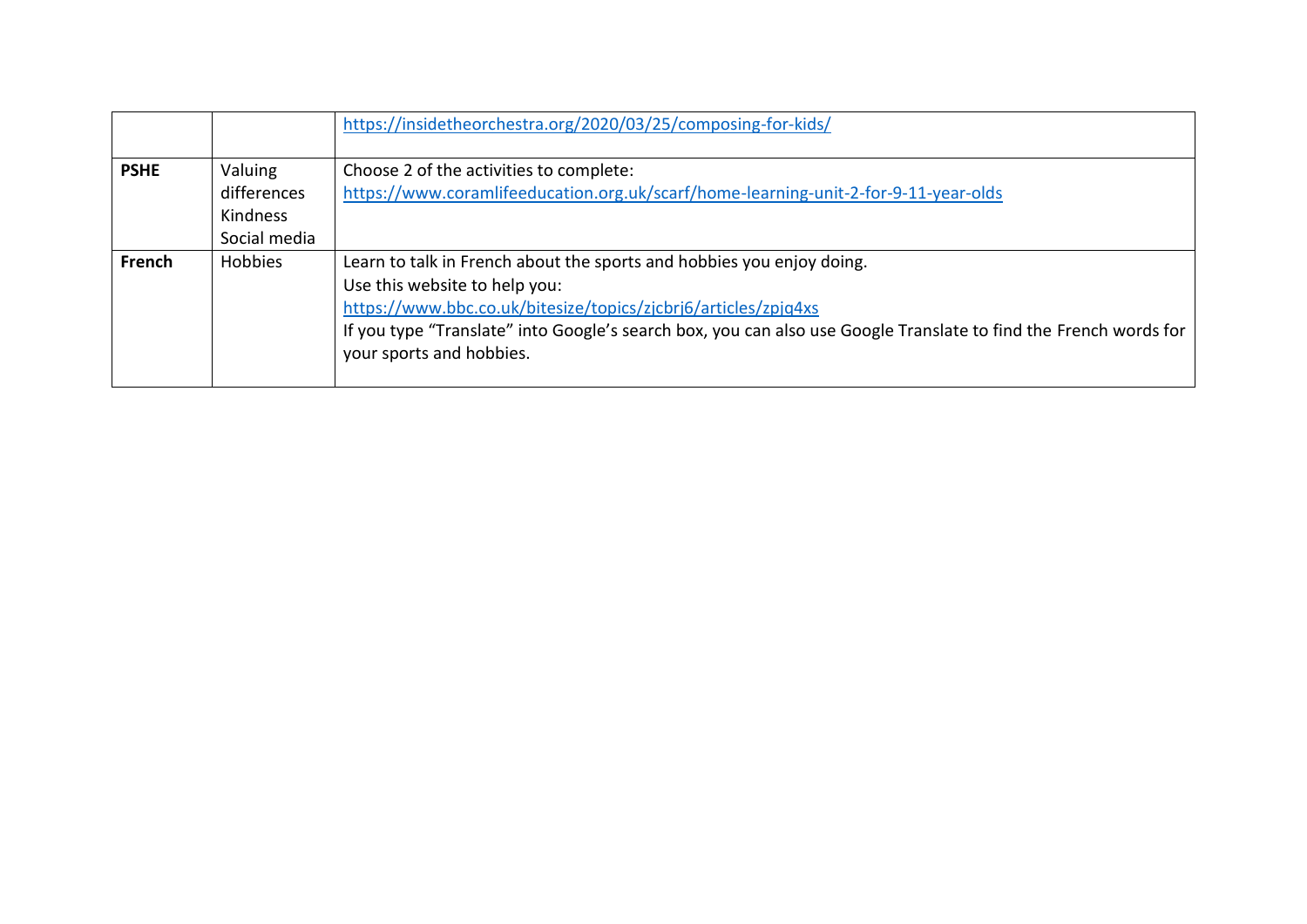|             |                | https://insidetheorchestra.org/2020/03/25/composing-for-kids/                                                    |
|-------------|----------------|------------------------------------------------------------------------------------------------------------------|
|             |                |                                                                                                                  |
| <b>PSHE</b> | Valuing        | Choose 2 of the activities to complete:                                                                          |
|             | differences    | https://www.coramlifeeducation.org.uk/scarf/home-learning-unit-2-for-9-11-year-olds                              |
|             | Kindness       |                                                                                                                  |
|             | Social media   |                                                                                                                  |
| French      | <b>Hobbies</b> | Learn to talk in French about the sports and hobbies you enjoy doing.                                            |
|             |                | Use this website to help you:                                                                                    |
|             |                | https://www.bbc.co.uk/bitesize/topics/zjcbrj6/articles/zpjq4xs                                                   |
|             |                | If you type "Translate" into Google's search box, you can also use Google Translate to find the French words for |
|             |                | your sports and hobbies.                                                                                         |
|             |                |                                                                                                                  |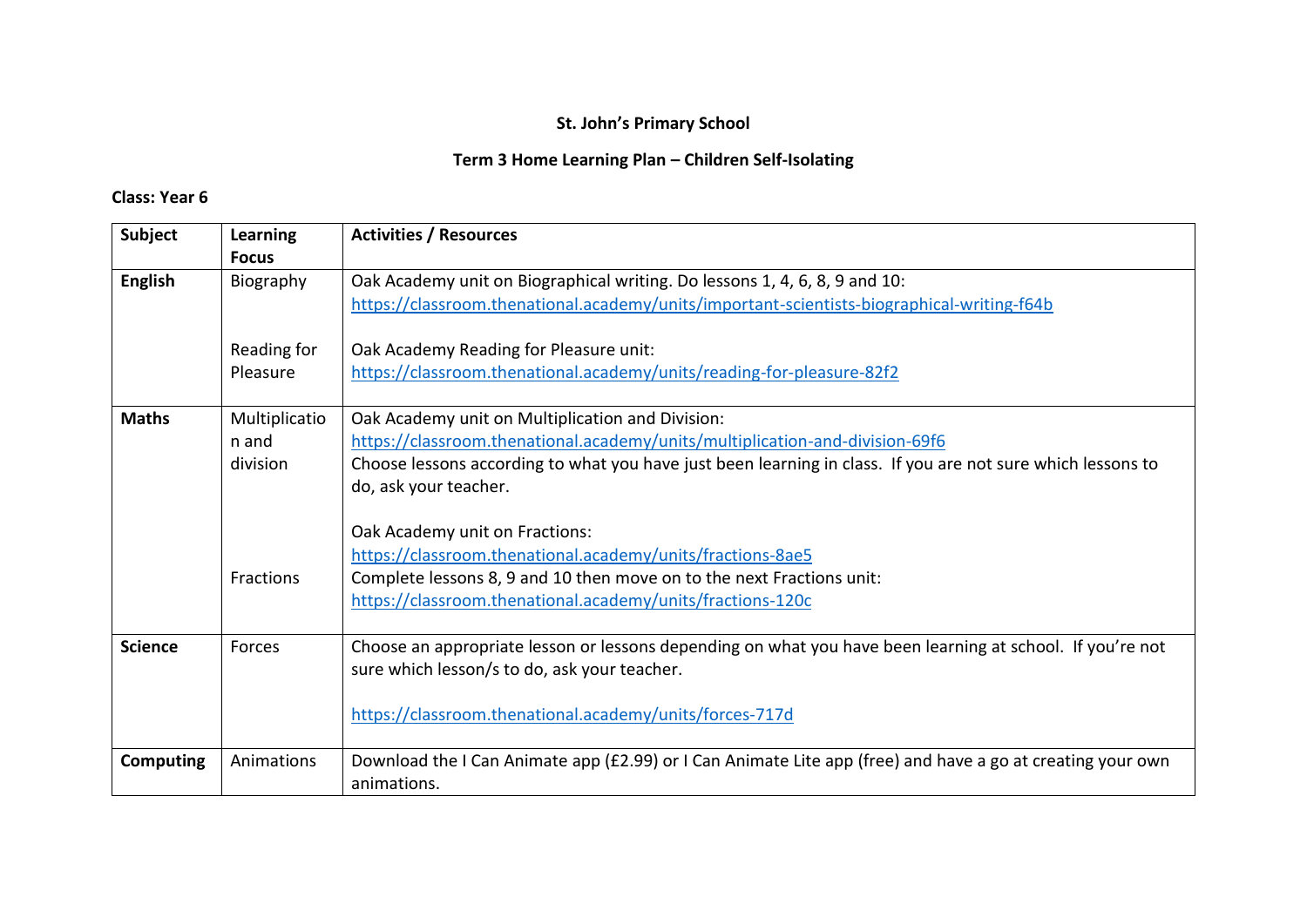# **Term 3 Home Learning Plan – Children Self-Isolating**

| <b>Subject</b>   | <b>Learning</b> | <b>Activities / Resources</b>                                                                               |
|------------------|-----------------|-------------------------------------------------------------------------------------------------------------|
|                  | <b>Focus</b>    |                                                                                                             |
| <b>English</b>   | Biography       | Oak Academy unit on Biographical writing. Do lessons 1, 4, 6, 8, 9 and 10:                                  |
|                  |                 | https://classroom.thenational.academy/units/important-scientists-biographical-writing-f64b                  |
|                  |                 |                                                                                                             |
|                  | Reading for     | Oak Academy Reading for Pleasure unit:                                                                      |
|                  | Pleasure        | https://classroom.thenational.academy/units/reading-for-pleasure-82f2                                       |
|                  |                 |                                                                                                             |
| <b>Maths</b>     | Multiplicatio   | Oak Academy unit on Multiplication and Division:                                                            |
|                  | n and           | https://classroom.thenational.academy/units/multiplication-and-division-69f6                                |
|                  | division        | Choose lessons according to what you have just been learning in class. If you are not sure which lessons to |
|                  |                 | do, ask your teacher.                                                                                       |
|                  |                 |                                                                                                             |
|                  |                 | Oak Academy unit on Fractions:                                                                              |
|                  |                 | https://classroom.thenational.academy/units/fractions-8ae5                                                  |
|                  | Fractions       | Complete lessons 8, 9 and 10 then move on to the next Fractions unit:                                       |
|                  |                 | https://classroom.thenational.academy/units/fractions-120c                                                  |
|                  |                 |                                                                                                             |
| <b>Science</b>   | Forces          | Choose an appropriate lesson or lessons depending on what you have been learning at school. If you're not   |
|                  |                 | sure which lesson/s to do, ask your teacher.                                                                |
|                  |                 |                                                                                                             |
|                  |                 | https://classroom.thenational.academy/units/forces-717d                                                     |
|                  |                 |                                                                                                             |
| <b>Computing</b> | Animations      | Download the I Can Animate app (£2.99) or I Can Animate Lite app (free) and have a go at creating your own  |
|                  |                 | animations.                                                                                                 |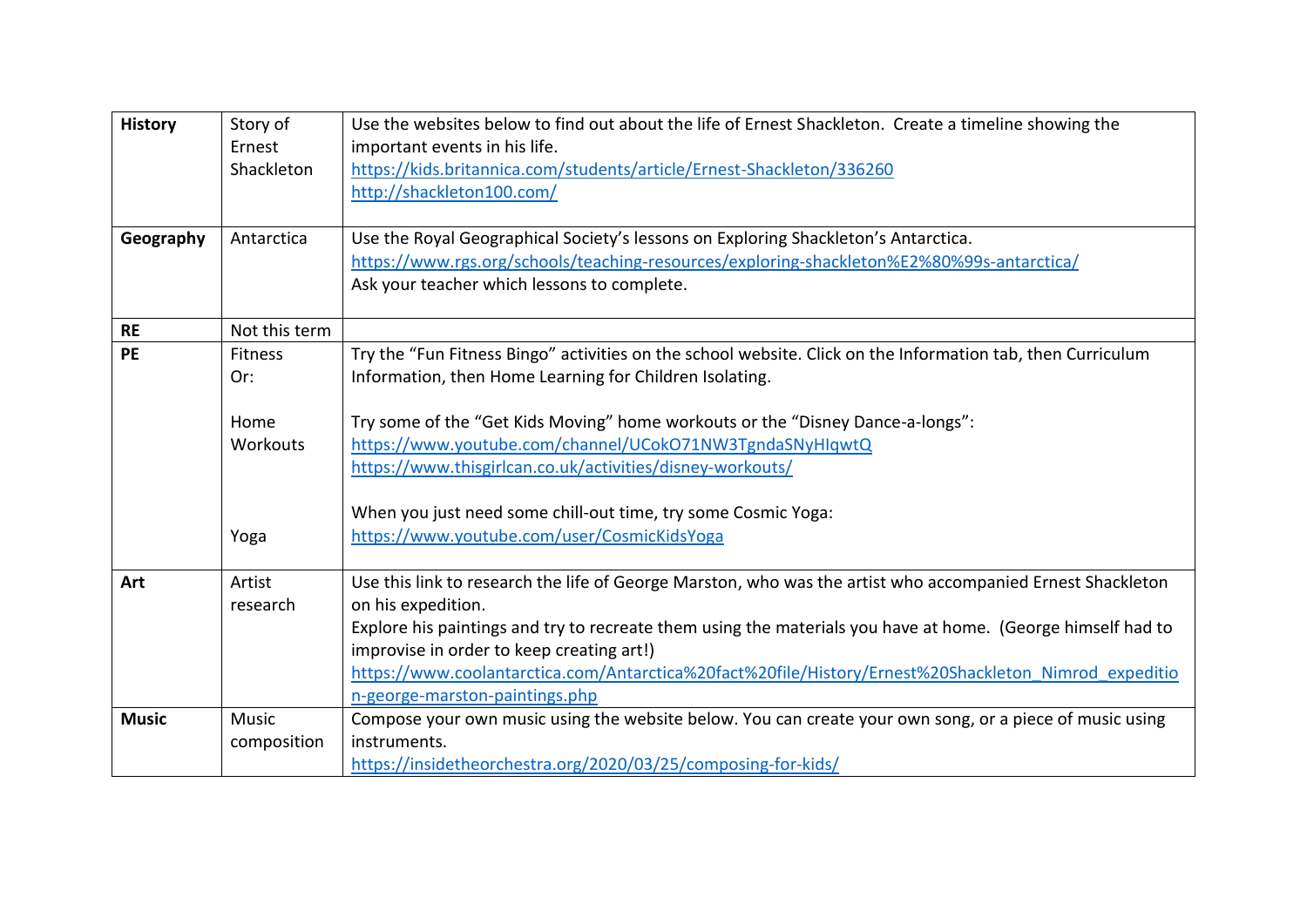| <b>History</b> | Story of       | Use the websites below to find out about the life of Ernest Shackleton. Create a timeline showing the       |
|----------------|----------------|-------------------------------------------------------------------------------------------------------------|
|                | Ernest         | important events in his life.                                                                               |
|                | Shackleton     | https://kids.britannica.com/students/article/Ernest-Shackleton/336260                                       |
|                |                | http://shackleton100.com/                                                                                   |
|                |                |                                                                                                             |
| Geography      | Antarctica     | Use the Royal Geographical Society's lessons on Exploring Shackleton's Antarctica.                          |
|                |                | https://www.rgs.org/schools/teaching-resources/exploring-shackleton%E2%80%99s-antarctica/                   |
|                |                | Ask your teacher which lessons to complete.                                                                 |
| <b>RE</b>      | Not this term  |                                                                                                             |
| <b>PE</b>      | <b>Fitness</b> | Try the "Fun Fitness Bingo" activities on the school website. Click on the Information tab, then Curriculum |
|                | Or:            | Information, then Home Learning for Children Isolating.                                                     |
|                |                |                                                                                                             |
|                | Home           | Try some of the "Get Kids Moving" home workouts or the "Disney Dance-a-longs":                              |
|                | Workouts       | https://www.youtube.com/channel/UCokO71NW3TgndaSNyHIqwtQ                                                    |
|                |                | https://www.thisgirlcan.co.uk/activities/disney-workouts/                                                   |
|                |                |                                                                                                             |
|                |                | When you just need some chill-out time, try some Cosmic Yoga:                                               |
|                | Yoga           | https://www.youtube.com/user/CosmicKidsYoga                                                                 |
|                |                |                                                                                                             |
| Art            | Artist         | Use this link to research the life of George Marston, who was the artist who accompanied Ernest Shackleton  |
|                | research       | on his expedition.                                                                                          |
|                |                | Explore his paintings and try to recreate them using the materials you have at home. (George himself had to |
|                |                | improvise in order to keep creating art!)                                                                   |
|                |                | https://www.coolantarctica.com/Antarctica%20fact%20file/History/Ernest%20Shackleton Nimrod expeditio        |
|                |                | n-george-marston-paintings.php                                                                              |
| <b>Music</b>   | <b>Music</b>   | Compose your own music using the website below. You can create your own song, or a piece of music using     |
|                | composition    | instruments.                                                                                                |
|                |                | https://insidetheorchestra.org/2020/03/25/composing-for-kids/                                               |